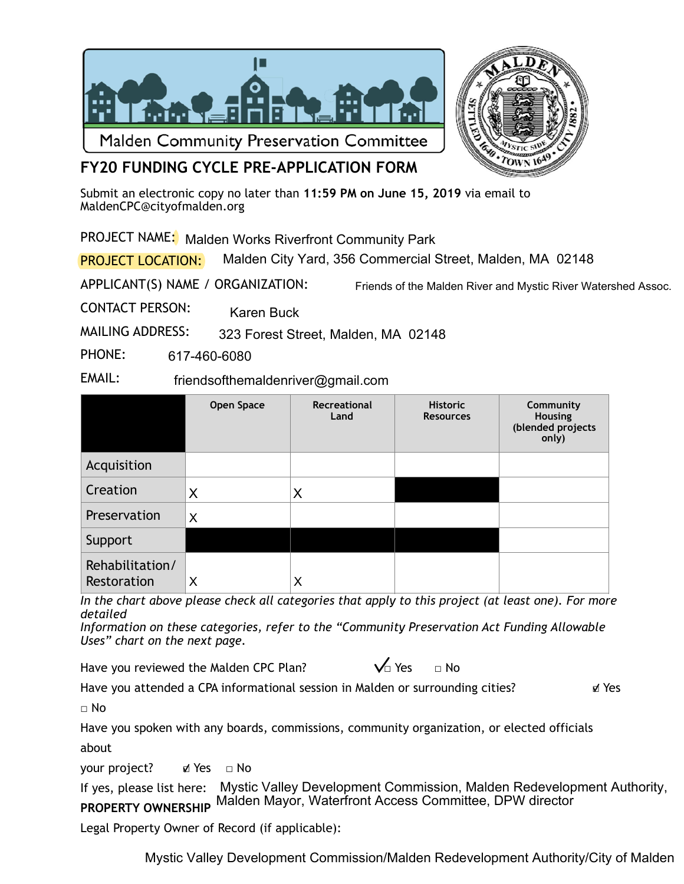



## **FY20 FUNDING CYCLE PRE-APPLICATION FORM**

Submit an electronic copy no later than **11:59 PM on June 15, 2019** via email to [MaldenCPC@cityofmalden.org](mailto:CPCMalden@gmail.com)

PROJECT NAME: Malden Works Riverfront Community Park

PROJECT LOCATION: Malden City Yard, 356 Commercial Street, Malden, MA 02148

APPLICANT(S) NAME / ORGANIZATION:

Friends of the Malden River and Mystic River Watershed Assoc.

CONTACT PERSON: Karen Buck

MAILING ADDRESS: 323 Forest Street, Malden, MA 02148

PHONE: 617-460-6080

EMAIL: friendsofthemaldenriver@gmail.com

|                                | <b>Open Space</b> | Recreational<br>Land | <b>Historic</b><br><b>Resources</b> | Community<br>Housing<br>(blended projects<br>only) |
|--------------------------------|-------------------|----------------------|-------------------------------------|----------------------------------------------------|
| Acquisition                    |                   |                      |                                     |                                                    |
| Creation                       | X                 | X                    |                                     |                                                    |
| Preservation                   | X                 |                      |                                     |                                                    |
| Support                        |                   |                      |                                     |                                                    |
| Rehabilitation/<br>Restoration | Χ                 | X                    |                                     |                                                    |

*In the chart above please check all categories that apply to this project (at least one). For more detailed* 

*Information on these categories, refer to the "Community Preservation Act Funding Allowable Uses" chart on the next page.* 

Have you reviewed the Malden CPC Plan?  $\bigvee_{\square}$  Yes  $\Box$  No

Have you attended a CPA informational session in Malden or surrounding cities? ■ Yes

 $\sqcap$  No

Have you spoken with any boards, commissions, community organization, or elected officials about

your project? ø Yes □ No

If yes, please list here: Mystic Valley Development Commission, Malden Redevelopment Authority, **PROPERTY OWNERSHIP**  Malden Mayor, Waterfront Access Committee, DPW director

Legal Property Owner of Record (if applicable):

Mystic Valley Development Commission/Malden Redevelopment Authority/City of Malden